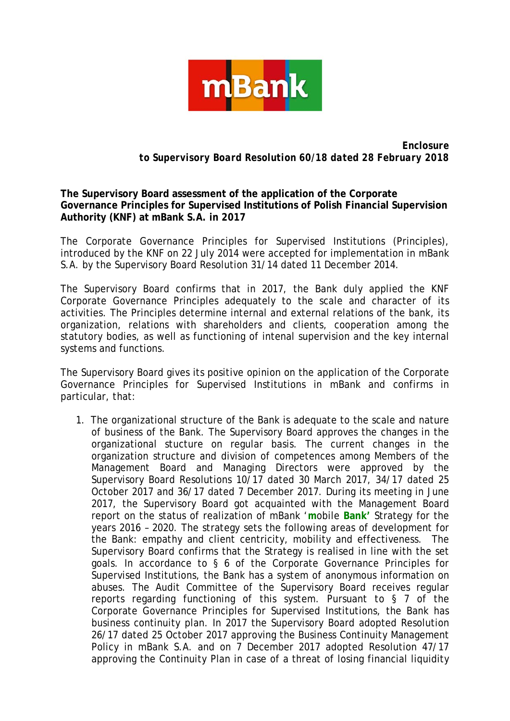

*Enclosure to Supervisory Board Resolution 60/18 dated 28 February 2018*

**The Supervisory Board assessment of the application of the Corporate Governance Principles for Supervised Institutions of Polish Financial Supervision Authority (KNF) at mBank S.A. in 2017**

The Corporate Governance Principles for Supervised Institutions (Principles), introduced by the KNF on 22 July 2014 were accepted for implementation in mBank S.A. by the Supervisory Board Resolution 31/14 dated 11 December 2014.

The Supervisory Board confirms that in 2017, the Bank duly applied the KNF Corporate Governance Principles adequately to the scale and character of its activities. The Principles determine internal and external relations of the bank, its organization, relations with shareholders and clients, cooperation among the statutory bodies, as well as functioning of intenal supervision and the key internal systems and functions.

The Supervisory Board gives its positive opinion on the application of the Corporate Governance Principles for Supervised Institutions in mBank and confirms in particular, that:

1. The organizational structure of the Bank is adequate to the scale and nature of business of the Bank. The Supervisory Board approves the changes in the organizational stucture on regular basis. The current changes in the organization structure and division of competences among Members of the Management Board and Managing Directors were approved by the Supervisory Board Resolutions 10/17 dated 30 March 2017, 34/17 dated 25 October 2017 and 36/17 dated 7 December 2017. During its meeting in June 2017, the Supervisory Board got acquainted with the Management Board report on the status of realization of mBank '**m**obile **Bank'** Strategy for the years 2016 – 2020. The strategy sets the following areas of development for the Bank: empathy and client centricity, mobility and effectiveness. The Supervisory Board confirms that the Strategy is realised in line with the set goals. In accordance to § 6 of the Corporate Governance Principles for Supervised Institutions, the Bank has a system of anonymous information on abuses. The Audit Committee of the Supervisory Board receives regular reports regarding functioning of this system. Pursuant to  $\S$  7 of the Corporate Governance Principles for Supervised Institutions, the Bank has business continuity plan. In 2017 the Supervisory Board adopted Resolution 26/17 dated 25 October 2017 approving the Business Continuity Management Policy in mBank S.A. and on 7 December 2017 adopted Resolution 47/17 approving the Continuity Plan in case of a threat of losing financial liquidity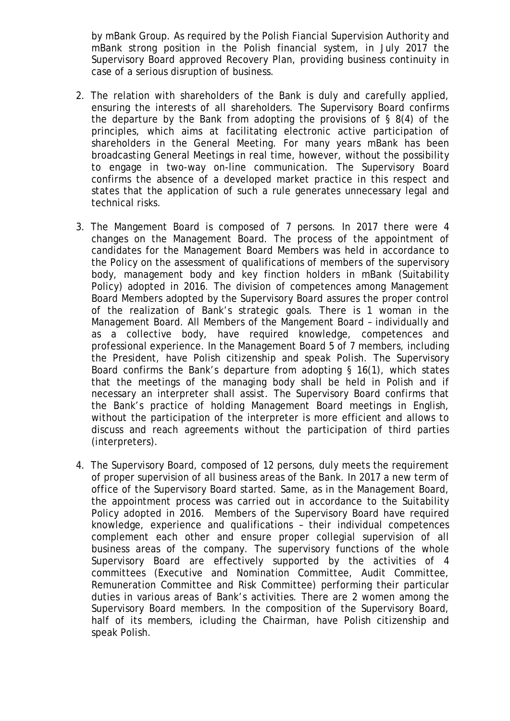by mBank Group. As required by the Polish Fiancial Supervision Authority and mBank strong position in the Polish financial system, in July 2017 the Supervisory Board approved Recovery Plan, providing business continuity in case of a serious disruption of business.

- 2. The relation with shareholders of the Bank is duly and carefully applied, ensuring the interests of all shareholders. The Supervisory Board confirms the departure by the Bank from adopting the provisions of § 8(4) of the principles, which aims at facilitating electronic active participation of shareholders in the General Meeting. For many years mBank has been broadcasting General Meetings in real time, however, without the possibility to engage in two-way on-line communication. The Supervisory Board confirms the absence of a developed market practice in this respect and states that the application of such a rule generates unnecessary legal and technical risks.
- 3. The Mangement Board is composed of 7 persons. In 2017 there were 4 changes on the Management Board. The process of the appointment of candidates for the Management Board Members was held in accordance to the Policy on the assessment of qualifications of members of the supervisory body, management body and key finction holders in mBank (Suitability Policy) adopted in 2016. The division of competences among Management Board Members adopted by the Supervisory Board assures the proper control of the realization of Bank's strategic goals. There is 1 woman in the Management Board. All Members of the Mangement Board – individually and as a collective body, have required knowledge, competences and professional experience. In the Management Board 5 of 7 members, including the President, have Polish citizenship and speak Polish. The Supervisory Board confirms the Bank's departure from adopting § 16(1), which states that the meetings of the managing body shall be held in Polish and if necessary an interpreter shall assist. The Supervisory Board confirms that the Bank's practice of holding Management Board meetings in English, without the participation of the interpreter is more efficient and allows to discuss and reach agreements without the participation of third parties (interpreters).
- 4. The Supervisory Board, composed of 12 persons, duly meets the requirement of proper supervision of all business areas of the Bank. In 2017 a new term of office of the Supervisory Board started. Same, as in the Management Board, the appointment process was carried out in accordance to the Suitability Policy adopted in 2016. Members of the Supervisory Board have required knowledge, experience and qualifications – their individual competences complement each other and ensure proper collegial supervision of all business areas of the company. The supervisory functions of the whole Supervisory Board are effectively supported by the activities of 4 committees (Executive and Nomination Committee, Audit Committee, Remuneration Committee and Risk Committee) performing their particular duties in various areas of Bank's activities. There are 2 women among the Supervisory Board members. In the composition of the Supervisory Board, half of its members, icluding the Chairman, have Polish citizenship and speak Polish.